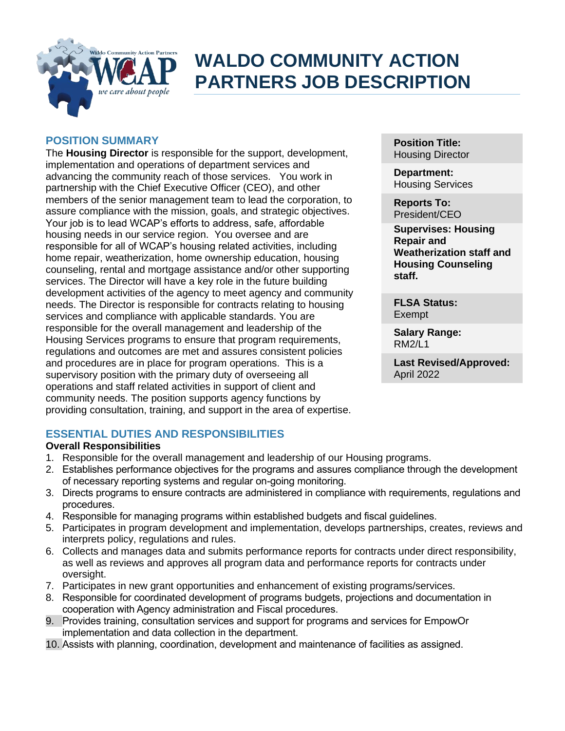

# **WALDO COMMUNITY ACTION PARTNERS JOB DESCRIPTION**

#### **POSITION SUMMARY**

The **Housing Director** is responsible for the support, development, implementation and operations of department services and advancing the community reach of those services. You work in partnership with the Chief Executive Officer (CEO), and other members of the senior management team to lead the corporation, to assure compliance with the mission, goals, and strategic objectives. Your job is to lead WCAP's efforts to address, safe, affordable housing needs in our service region. You oversee and are responsible for all of WCAP's housing related activities, including home repair, weatherization, home ownership education, housing counseling, rental and mortgage assistance and/or other supporting services. The Director will have a key role in the future building development activities of the agency to meet agency and community needs. The Director is responsible for contracts relating to housing services and compliance with applicable standards. You are responsible for the overall management and leadership of the Housing Services programs to ensure that program requirements, regulations and outcomes are met and assures consistent policies and procedures are in place for program operations. This is a supervisory position with the primary duty of overseeing all operations and staff related activities in support of client and community needs. The position supports agency functions by providing consultation, training, and support in the area of expertise.

**Position Title:** Housing Director

**Department:** Housing Services

**Reports To:** President/CEO

**Supervises: Housing Repair and Weatherization staff and Housing Counseling staff.** 

**FLSA Status:** Exempt

**Salary Range:** RM2/L1

**Last Revised/Approved:** April 2022

# **ESSENTIAL DUTIES AND RESPONSIBILITIES**

#### **Overall Responsibilities**

- 1. Responsible for the overall management and leadership of our Housing programs.
- 2. Establishes performance objectives for the programs and assures compliance through the development of necessary reporting systems and regular on-going monitoring.
- 3. Directs programs to ensure contracts are administered in compliance with requirements, regulations and procedures.
- 4. Responsible for managing programs within established budgets and fiscal guidelines.
- 5. Participates in program development and implementation, develops partnerships, creates, reviews and interprets policy, regulations and rules.
- 6. Collects and manages data and submits performance reports for contracts under direct responsibility, as well as reviews and approves all program data and performance reports for contracts under oversight.
- 7. Participates in new grant opportunities and enhancement of existing programs/services.
- 8. Responsible for coordinated development of programs budgets, projections and documentation in cooperation with Agency administration and Fiscal procedures.
- 9. Provides training, consultation services and support for programs and services for EmpowOr implementation and data collection in the department.
- 10. Assists with planning, coordination, development and maintenance of facilities as assigned.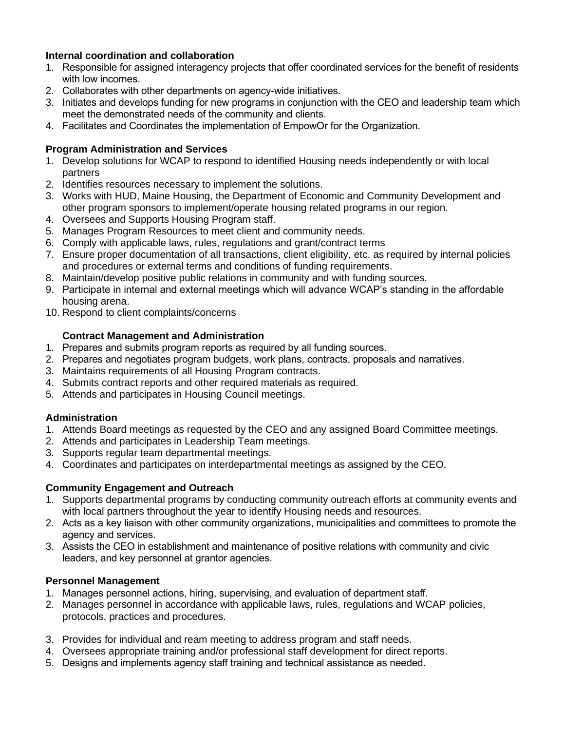#### **Internal coordination and collaboration**

- 1. Responsible for assigned interagency projects that offer coordinated services for the benefit of residents with low incomes.
- 2. Collaborates with other departments on agency-wide initiatives.
- 3. Initiates and develops funding for new programs in conjunction with the CEO and leadership team which meet the demonstrated needs of the community and clients.
- 4. Facilitates and Coordinates the implementation of EmpowOr for the Organization.

#### **Program Administration and Services**

- 1. Develop solutions for WCAP to respond to identified Housing needs independently or with local partners
- 2. Identifies resources necessary to implement the solutions.
- 3. Works with HUD, Maine Housing, the Department of Economic and Community Development and other program sponsors to implement/operate housing related programs in our region.
- 4. Oversees and Supports Housing Program staff.
- 5. Manages Program Resources to meet client and community needs.
- 6. Comply with applicable laws, rules, regulations and grant/contract terms
- 7. Ensure proper documentation of all transactions, client eligibility, etc. as required by internal policies and procedures or external terms and conditions of funding requirements.
- 8. Maintain/develop positive public relations in community and with funding sources.
- 9. Participate in internal and external meetings which will advance WCAP's standing in the affordable housing arena.
- 10. Respond to client complaints/concerns

#### **Contract Management and Administration**

- 1. Prepares and submits program reports as required by all funding sources.
- 2. Prepares and negotiates program budgets, work plans, contracts, proposals and narratives.
- 3. Maintains requirements of all Housing Program contracts.
- 4. Submits contract reports and other required materials as required.
- 5. Attends and participates in Housing Council meetings.

#### **Administration**

- 1. Attends Board meetings as requested by the CEO and any assigned Board Committee meetings.
- 2. Attends and participates in Leadership Team meetings.
- 3. Supports regular team departmental meetings.
- 4. Coordinates and participates on interdepartmental meetings as assigned by the CEO.

#### **Community Engagement and Outreach**

- 1. Supports departmental programs by conducting community outreach efforts at community events and with local partners throughout the year to identify Housing needs and resources.
- 2. Acts as a key liaison with other community organizations, municipalities and committees to promote the agency and services.
- 3. Assists the CEO in establishment and maintenance of positive relations with community and civic leaders, and key personnel at grantor agencies.

#### **Personnel Management**

- 1. Manages personnel actions, hiring, supervising, and evaluation of department staff.
- 2. Manages personnel in accordance with applicable laws, rules, regulations and WCAP policies, protocols, practices and procedures.
- 3. Provides for individual and ream meeting to address program and staff needs.
- 4. Oversees appropriate training and/or professional staff development for direct reports.
- 5. Designs and implements agency staff training and technical assistance as needed.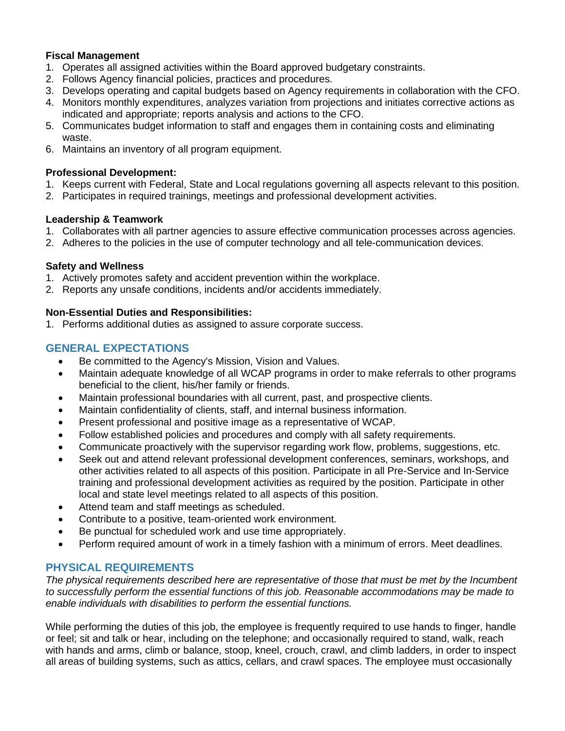#### **Fiscal Management**

- 1. Operates all assigned activities within the Board approved budgetary constraints.
- 2. Follows Agency financial policies, practices and procedures.
- 3. Develops operating and capital budgets based on Agency requirements in collaboration with the CFO.
- 4. Monitors monthly expenditures, analyzes variation from projections and initiates corrective actions as indicated and appropriate; reports analysis and actions to the CFO.
- 5. Communicates budget information to staff and engages them in containing costs and eliminating waste.
- 6. Maintains an inventory of all program equipment.

#### **Professional Development:**

- 1. Keeps current with Federal, State and Local regulations governing all aspects relevant to this position.
- 2. Participates in required trainings, meetings and professional development activities.

#### **Leadership & Teamwork**

- 1. Collaborates with all partner agencies to assure effective communication processes across agencies.
- 2. Adheres to the policies in the use of computer technology and all tele-communication devices.

#### **Safety and Wellness**

- 1. Actively promotes safety and accident prevention within the workplace.
- 2. Reports any unsafe conditions, incidents and/or accidents immediately.

#### **Non-Essential Duties and Responsibilities:**

1. Performs additional duties as assigned to assure corporate success.

## **GENERAL EXPECTATIONS**

- Be committed to the Agency's Mission, Vision and Values.
- Maintain adequate knowledge of all WCAP programs in order to make referrals to other programs beneficial to the client, his/her family or friends.
- Maintain professional boundaries with all current, past, and prospective clients.
- Maintain confidentiality of clients, staff, and internal business information.
- Present professional and positive image as a representative of WCAP.
- Follow established policies and procedures and comply with all safety requirements.
- Communicate proactively with the supervisor regarding work flow, problems, suggestions, etc.
- Seek out and attend relevant professional development conferences, seminars, workshops, and other activities related to all aspects of this position. Participate in all Pre-Service and In-Service training and professional development activities as required by the position. Participate in other local and state level meetings related to all aspects of this position.
- Attend team and staff meetings as scheduled.
- Contribute to a positive, team-oriented work environment.
- Be punctual for scheduled work and use time appropriately.
- Perform required amount of work in a timely fashion with a minimum of errors. Meet deadlines.

#### **PHYSICAL REQUIREMENTS**

*The physical requirements described here are representative of those that must be met by the Incumbent to successfully perform the essential functions of this job. Reasonable accommodations may be made to enable individuals with disabilities to perform the essential functions.*

While performing the duties of this job, the employee is frequently required to use hands to finger, handle or feel; sit and talk or hear, including on the telephone; and occasionally required to stand, walk, reach with hands and arms, climb or balance, stoop, kneel, crouch, crawl, and climb ladders, in order to inspect all areas of building systems, such as attics, cellars, and crawl spaces. The employee must occasionally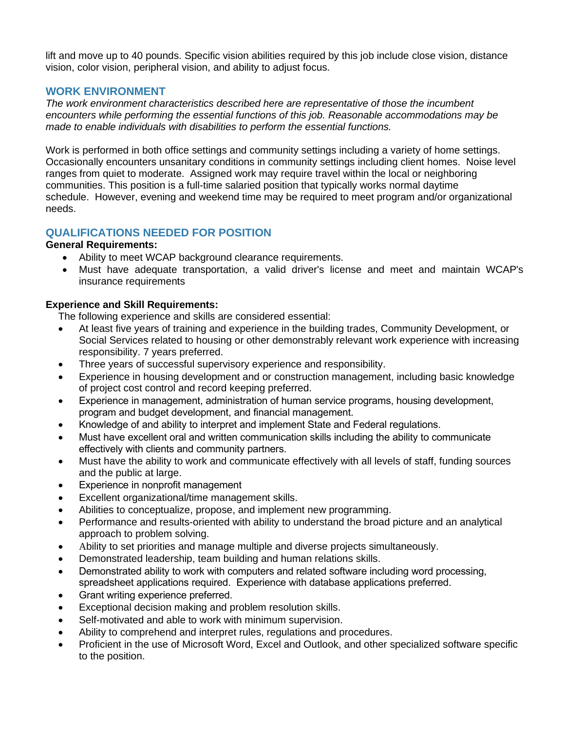lift and move up to 40 pounds. Specific vision abilities required by this job include close vision, distance vision, color vision, peripheral vision, and ability to adjust focus.

#### **WORK ENVIRONMENT**

*The work environment characteristics described here are representative of those the incumbent encounters while performing the essential functions of this job. Reasonable accommodations may be made to enable individuals with disabilities to perform the essential functions.* 

Work is performed in both office settings and community settings including a variety of home settings. Occasionally encounters unsanitary conditions in community settings including client homes. Noise level ranges from quiet to moderate. Assigned work may require travel within the local or neighboring communities. This position is a full-time salaried position that typically works normal daytime schedule. However, evening and weekend time may be required to meet program and/or organizational needs.

## **QUALIFICATIONS NEEDED FOR POSITION**

#### **General Requirements:**

- Ability to meet WCAP background clearance requirements.
- Must have adequate transportation, a valid driver's license and meet and maintain WCAP's insurance requirements

#### **Experience and Skill Requirements:**

The following experience and skills are considered essential:

- At least five years of training and experience in the building trades, Community Development, or Social Services related to housing or other demonstrably relevant work experience with increasing responsibility. 7 years preferred.
- Three years of successful supervisory experience and responsibility.
- Experience in housing development and or construction management, including basic knowledge of project cost control and record keeping preferred.
- Experience in management, administration of human service programs, housing development, program and budget development, and financial management.
- Knowledge of and ability to interpret and implement State and Federal regulations.
- Must have excellent oral and written communication skills including the ability to communicate effectively with clients and community partners.
- Must have the ability to work and communicate effectively with all levels of staff, funding sources and the public at large.
- Experience in nonprofit management
- Excellent organizational/time management skills.
- Abilities to conceptualize, propose, and implement new programming.
- Performance and results-oriented with ability to understand the broad picture and an analytical approach to problem solving.
- Ability to set priorities and manage multiple and diverse projects simultaneously.
- Demonstrated leadership, team building and human relations skills.
- Demonstrated ability to work with computers and related software including word processing, spreadsheet applications required. Experience with database applications preferred.
- Grant writing experience preferred.
- Exceptional decision making and problem resolution skills.
- Self-motivated and able to work with minimum supervision.
- Ability to comprehend and interpret rules, regulations and procedures.
- Proficient in the use of Microsoft Word, Excel and Outlook, and other specialized software specific to the position.